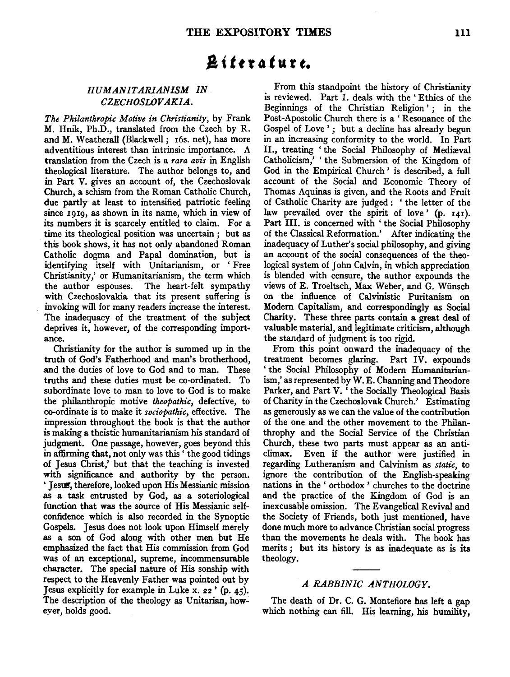# A *i t* f r 4 *t* u *t t.*

## *HUMANITARIANISM IN*  CZECHOSLOVAKIA.

*The Philanthropic Motive in Christianity,* by Frank M. Hnik, Ph.D., translated from the Czech by R. and M. Weatherall (Blackwell; 16s. net), has more adventitious interest than intrinsic importance. A translation from the Czech is a *rara avis* in English theological literature. The author belongs to, and in Part V. gives an account of, the Czechoslovak Church, a schism from the Roman Catholic Church, due partly at least to intensified patriotic feeling since 1919, as shown in its name, which in view of its numbers it is scarcely entitled to claim. For a time its theological position was uncertain ; but as this book shows, it has not only abandoned Roman Catholic dogma and Papal domination, but is identifying itself with Unitarianism, or ' Free Christianity,' or Humanitarianism, the term which the author espouses. The heart-felt sympathy with Czechoslovakia that its present suffering is invoking will for many readers increase the interest. The inadequacy of the treatment of the subject deprives it, however, of the corresponding importance.

Christianity for the author is summed up in the truth of God's Fatherhood and man's brotherhood, and the duties of love to God and to man. These truths and these duties must be co-ordinated. To subordinate love to man to love to God is to make the philanthropic motive *theopathic,* defective, to co-ordinate is to make it *sociopathic,* effective. The impression throughout the book is that the author is making a theistic humanitarianism his standard of judgment. One passage, however, goes beyond this in affirming that, not only was this ' the good tidings of Jesus Christ,' but that the teaching is invested with significance and authority by the person. ' Jesus, therefore, looked upon His Messianic mission as a task entrusted by God, as a soteriological function that was the source of His Messianic selfconfidence which is also recorded in the Synoptic Gospels. Jesus does not look upon Himself merely as a son of God along with other men but He emphasized the fact that His commission from God was of an exceptional, supreme, incommensurable character. The special nature of His sonship with respect to the Heavenly Father was pointed out by Jesus explicitly for example in Luke x.  $22'$  (p. 45). The description of the theology as Unitarian, howeyer, holds good.

From this standpoint the history of Christianity is reviewed. Part I. deals with the ' Ethics of the Beginnings of the Christian Religion'; in the Post-Apostolic Church there is a' Resonance of the Gospel of Love'; but a decline has already begun in an increasing conformity to the world. In Part II., treating 'the Social Philosophy of Mediæval Catholicism,' 'the Submersion of the Kingdom of God in the Empirical Church ' is described, a full account of the Social and Economic Theory of Thomas Aquinas is given, and the Roots and Fruit of Catholic Charity are judged : ' the letter of the law prevailed over the spirit of love ' (p. 141). Part HI. is concerned with ' the Social Philosophy of the Classical Reformation.' After indicating the inadequacy of Luther's social philosophy, and giving an account of the social consequences of the theological system of John Calvin, in which appreciation is blended with censure, the author expounds the views of E. Troeltsch, Max Weber, and G. Wiinsch on the influence of Calvinistic Puritanism on Modem Capitalism, and correspondingly as Social Charity. These three parts contain a great deal of valuable material, and legitimate criticism, although the standard of judgment is too rigid.

From this point onward the inadequacy of the treatment becomes glaring. Part IV. expounds ' the Social Philosophy of Modem Humanitarianism,' as represented by W. E. Channing and Theodore Parker, and Part V. 'the Socially Theological Basis of Charity in the Czechoslovak Church.' Estimating as generously as we can the value of the contribution of the one and the other movement to the Philanthrophy and the Social Service of the Christian Church, these two parts must appear as an anticlimax. Even if the author were justified in regarding Lutheranism and Calvinism as *static,* to ignore the contribution of the English-speaking nations in the ' orthodox ' churches to the doctrine and the practice of the Kingdom of God is an inexcusable omission. The Evangelical Revival and the Society of Friends, both just mentioned, have done much more to advance Christian social progress than the movements he deals with. The book has merits; but its history is as inadequate as is its theology.

## *A RABBINIC .ANTHOLOGY.*

The death of Dr. C. G. Montefiore has left a gap which nothing can fill. His learning, his humility,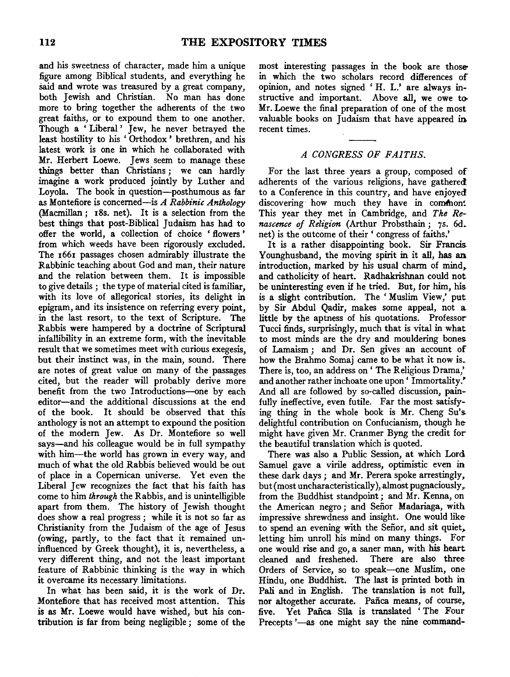and his sweetness of character, made him a unique figure among Biblical students, and everything he 5aid and wrote was treasured by a great company, both Jewish and Christian. No man has done more to bring together the adherents of the two great faiths, or to expound them to one another. Though a 'Liberal' Jew, he never betrayed the least hostility to his ' Orthodox ' brethren, and his latest work is one in which he collaborated with Mr. Herbert Loewe. Jews seem to manage these things better than Christians ; we can hardly imagine a work produced jointly by Luther and Loyola. The book in question-posthumous as far as Montefiore is concerned-is *A Rabbinic Anthology*  (Macmillan; r8s. net). It is a selection from the best things that post-Biblical Judaism has had to offer the world, a collection of choice 'flowers' from which weeds have been rigorously excluded. The 1661 passages chosen admirably illustrate the Rabbinic teaching about God and man, their nature and the relation between them. It is impossible to give details ; the type of material cited is familiar, with its love of allegorical stories, its delight in epigram, and its insistence on referring every point, in the last resort, to the text of Scripture. The Rabbis were hampered by a doctrine of Scriptural infallibility in an extreme form, with the inevitable result that we sometimes meet with curious exegesis, but their instinct was, in the main, sound. There are notes of great value on many of the passages cited, but the reader will probably derive more benefit from the two Introductions-one by each editor-and the additional discussions at the end of the book. It should be observed that this anthology is not an attempt to expound the position of the modern Jew. As Dr. Montefiore so well says-and his colleague would be in full sympathy with him-the world has grown in every way, and much of what the old Rabbis believed would be out of place in a Copernican universe. Yet even the Liberal Jew recognizes the fact that his faith has come to him *through* the Rabbis, and is unintelligible apart from them. The history of Jewish thought does show a real progress ; while it is not so far as Christianity from the Judaism of the age of Jesus (owing, partly, to the fact that it remained uninfluenced by Greek thought), it is, nevertheless, a very different thing, and not the least important feature of Rabbinic thinking is the way in which it overcame its necessary limitations.

In what. has been said, it is the work of Dr. Montefiore that has received most attention. This is as Mr. Loewe would have wished, but his contribution is far from being negligible ; some of the most interesting passages in the book are thosein which the two scholars record differences of opinion, and notes signed ' H. L.' are always instructive and important. Above all, we owe to-Mr. Loewe the final preparation of one of the most valuable books on Judaism that have appeared in recent times.

## *A CONGRESS OF FAITHS.*

For the last three years a group, composed of adherents of the various religions, have gathered to a Conference in this country, and have enjoyed discovering how much they have in common. This year they met in Cambridge, and *The Renascence of Religion* (Arthur Probsthain ; 7s. 6d. net) is the outcome of their ' congress of faiths.'

It is a rather disappointing book. Sir Francis Younghusband, the moving spirit in it all, has an introduction, marked by his usual charm of mind, and catholicity of heart. Radhakrishnan could not be uninteresting even if he tried. But, for him, his is a slight contribution. The 'Muslim View,' put by Sir Abdul Qadir, makes some appeal, not a little by the aptness of his quotations. Professor Tucci finds, surprisingly, much that is vital in what to most minds are the dry and mouldering bones of Lamaism; and Dr. Sen gives an account of how the Brahmo Somaj came to be what it now is. There is, too, an address on ' The Religious Drama,' and another rather inchoate one upon ' Immortality.' And all are followed by so-called discussion, painfully ineffective, even futile. Far the most satisfying thing in the whole book is Mr. Cheng Su's delightful contribution on Confucianism, though he might have given Mr. Cranmer Byng the credit for the beautiful translation which is quoted.

There was also a Public Session, at which Lord Samuel gave a virile address, optimistic even in these dark days; and Mr. Perera spoke arrestingly, but(most uncharacteristically), almost pugnaciously,. from the Buddhist standpoint; and Mr. Kenna, on the American negro ; and Sefior Madariaga, with impressive shrewdness and insight. One would like to spend an evening with the Señor, and sit quiet, letting him unroll his mind on many things. For one would rise and go, a saner man, with his heart cleaned and freshened. There are also three Orders of Service, so to speak-one Muslim, one Hindu, one Buddhist. The last is printed both in Pali and in English. The translation is not full, nor altogether accurate. Pafica means, of course, five. Yet Pafica Sila is translated ' The Four Precepts '-as one might say the nine command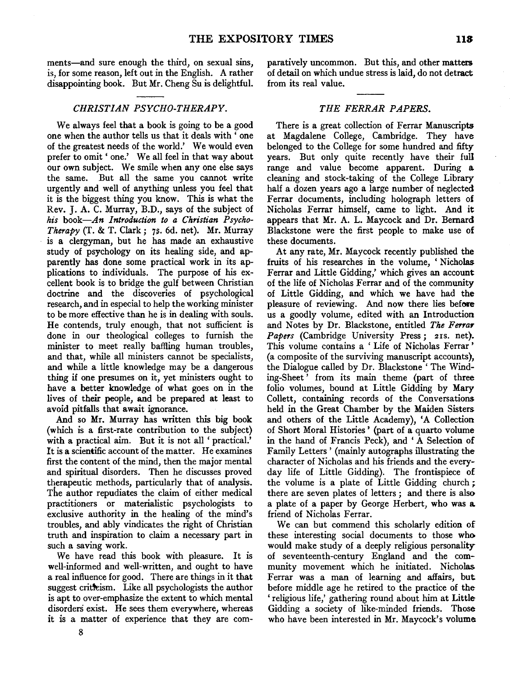ments—and sure enough the third, on sexual sins, is, for some reason, left out in the English. A rather

*CHRISTIAN PSYCHO-THERAPY.* 

disappointing book. But Mr. Cheng Su is delightful.

We always feel that a book is going to be a good one when the author tells us that it deals with ' one of the greatest needs of the world.' We would even prefer to omit' one.' We all feel in that way about our own subject. We smile when any one else says the same. But all the same you cannot write urgently and well of anything unless you feel that it is the biggest thing you know. This is what the Rev. J. A. C. Murray, B.D., says of the subject of *his book-An Introduction to a Christian Psycho-Therapy* (T. & T. Clark; 7S· 6d. net). Mr. Murray is a clergyman, but he has made an exhaustive study of psychology on its healing side, and apparently has done some practical work in its applications to individuals. The purpose of his excellent book is to bridge the gulf between Christian doctrine and the discoveries of psychological research, and in especial to help the working minister to be more effective than he is in dealing with souls. He contends, truly enough, that not sufficient is done in our theological colleges to furnish the minister to meet really baffling human troubles, and that, while all ministers cannot be specialists, and while a little knowledge may be a dangerous thing if one presumes on it, yet ministers ought to have a better knowledge of what goes on in the lives of their people, and be prepared at least to avoid pitfalls that await ignorance.

And so Mr. Murray has written this big book (which is a first-rate contribution to the subject) with a practical aim. But it is not all 'practical.' It is a scientific account of the matter. He examines first the content of the mind, then the major mental and spiritual disorders. Then he discusses proved therapeutic methods, particularly that of analysis. The author repudiates the claim of either medical practitioners or materialistic psychologists to exclusive authority in the healing of the mind's troubles, and ably vindicates the right of Christian truth and inspiration to claim a necessary part in such a saving work.

We have read this book with pleasure. It is well-informed and well-written, and ought to have a real influence for good. There are things in it that suggest criticism. Like all psychologists the author is apt to over-emphasize the extent to which mental disorders exist. He sees them everywhere, whereas it is a matter of experience that they are comparatively uncommon. But this, and other matters of detail on which undue stress is laid, do not detract from its real value.

#### *THE FERRAR PAPERS.*

There is a great collection of Ferrar Manuscripts at Magdalene College, Cambridge. They have belonged to the College for some hundred and fifty years. But only quite recently have their full range and value become apparent. During a. cleaning and stock-taking of the College Library half a dozen years ago a large number of neglected Ferrar documents, including holograph letters of Nicholas Ferrar himself, came to light. And it appears that Mr. A. L. Maycock and Dr. Bernard Blackstone were the first people to make use of these documents.

At any rate, Mr. Maycock recently published the fruits of his researches in the volume, ' Nicholas Ferrar and Little Gidding,' which gives an account of the life of Nicholas Ferrar and of the community of Little Gidding, and which we have had the pleasure of reviewing. And now there lies before us a goodly volume, edited with an Introduction and Notes by Dr. Blackstone, entitled *The FerraY Papers* (Cambridge University Press; 21s. net). This volume contains a ' Life of Nicholas Ferrar' (a composite of the surviving manuscript accounts), the Dialogue called by Dr. Blackstone 'The Winding-Sheet ' from its main theme (part of three folio volumes, bound at Little Gidding by Mary Collett, containing records of the Conversations held in the Great Chamber by the Maiden Sisters and others of the Little Academy), 'A Collection of Short Moral Histories ' (part of a quarto volume in the hand of Francis Peck), and ' A Selection of Family Letters' (mainly autographs illustrating the character of Nicholas and his friends and the everyday life of Little Gidding). The frontispiece of the volume is a plate of Little Gidding church ; there are seven plates of letters ; and there is also a plate of a paper by George Herbert, who was a. friend of Nicholas Ferrar.

We can but commend this scholarly edition of these interesting social documents to those who would make study of a deeply religious personality of seventeenth-century England and the community movement which he initiated. Nicholas Ferrar was a man of learning and affairs, but before middle age he retired to the practice of the 'religious life,' gathering round about him at Little Gidding a society of like-minded friends. Those who have been interested in Mr. Maycock's volume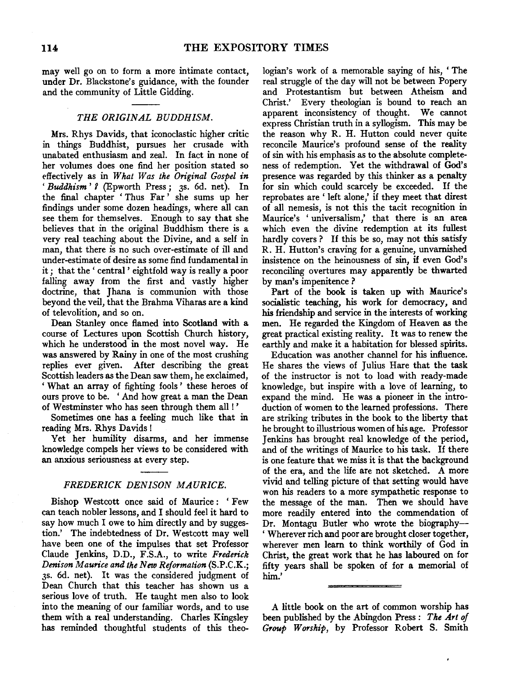may well go on to form a more intimate contact, under Dr. Blackstone's guidance, with the founder and the community of Little Gidding.

### *THE ORIGINAL BUDDHISM.*

Mrs. Rhys Davids, that iconoclastic higher critic in things Buddhist, pursues her crusade with unabated enthusiasm and zeal. In fact in none of her volumes does one find her position stated so effectively as in *What Was the Original Gospel in*  'Buddhism' ? (Epworth Press; 3s. 6d. net). In the final chapter ' Thus Far ' she sums up her findings under some dozen headings, where all can see them for themselves. Enough to say that she believes that in the original Buddhism there is a very real teaching about the Divine, and a self in man, that there is no such over-estimate of ill and under-estimate of desire as some find fundamental in it ; that the ' central ' eightfold way is really a poor falling away from the first and vastly higher doctrine, that Jhana is communion with those beyond the veil, that the Brahma Viharas are a kind of televolition, and so on.

Dean Stanley once flamed into Scotland with a course of Lectures upon Scottish Church history, which he understood in the most novel way. He was answered by Rainy in one of the most crushing replies ever given. After describing the great Scottish leaders as the Dean saw them, he exclaimed, ' What an array of fighting fools ' these heroes of ours prove to be. ' And how great a man the Dean of Westminster who has seen through them all!'

Sometimes one has a feeling much like that in reading Mrs. Rhys Davids !

Yet her humility disarms, and her immense knowledge compels her views to be considered with an anxious seriousness at every step.

#### *FREDERICK DEN/SON MAURICE.*

Bishop Westcott once said of Maurice: 'Few can teach nobler lessons, and I should feel it hard to say how much I owe to him directly and by suggestion.' The indebtedness of Dr. Westcott may well have been one of the impulses that set Professor Claude Jenkins, D.D., F.S.A., to write *Frederick Denison Maurice and the New Reformation* (S.P.C.K.; JS. 6d. net). It was the considered judgment of Dean Church that this teacher has shown us a serious love of truth. He taught men also to look into the meaning of our familiar words, and to use them with a real understanding. Charles Kingsley has reminded thoughtful students of this theologian's work of a memorable saying of his, ' The real struggle of the day will not be between Popery and Protestantism but between Atheism and Christ.' Every theologian is bound to reach an apparent inconsistency of thought. We cannot express Christian truth in a syllogism. This may be the reason why R. H. Hutton could never quite reconcile Maurice's profound sense of the reality of sin with his emphasis as to the absolute completeness of redemption. Yet the withdrawal of God's presence was regarded by this thinker as a penalty for sin which could scarcely be exceeded. If the reprobates are ' left alone,' if they meet that direst of all nemesis, is not this the tacit recognition in Maurice's 'universalism,' that there is an area which even the divine redemption at its fullest hardly covers ? If this be so, may not this satisfy R. H. Hutton's craving for a genuine, unvarnished insistence on the heinousness of sin, if even God's reconciling overtures may apparently be thwarted by man's impenitence?

Part of the book is taken up with Maurice's socialistic teaching, his work for democracy, and his friendship and service in the interests of working men. He regarded the Kingdom of Heaven as the great practical existing reality. It was to renew the earthly and make it a habitation for blessed spirits.

Education was another channel for his influence. He shares the views of Julius Hare that the task of the instructor is not to load with ready-made knowledge, but inspire with a love of learning, to expand the mind. He was a pioneer in the introduction of women to the learned professions. There are striking tributes in the book to the liberty that he brought to illustrious women of his age. Professor Jenkins has brought real knowledge of the period, and of the writings of Maurice to his task. If there is one feature that we miss it is that the background of the era, and the life are not sketched. A more vivid and telling picture of that setting would have won his readers to a more sympathetic response to the message of the man. Then we should have more readily entered into the commendation of Dr. Montagu Butler who wrote the biography- ' Wherever rich and poor are brought closer together, wherever men learn to think worthily of God in Christ, the great work that he has laboured on for fifty years shall be spoken of for a memorial of . , him.'

A little book on the art of common worship has been published by the Abingdon Press : *The Art of Group Worship,* by Professor Robert S. Smith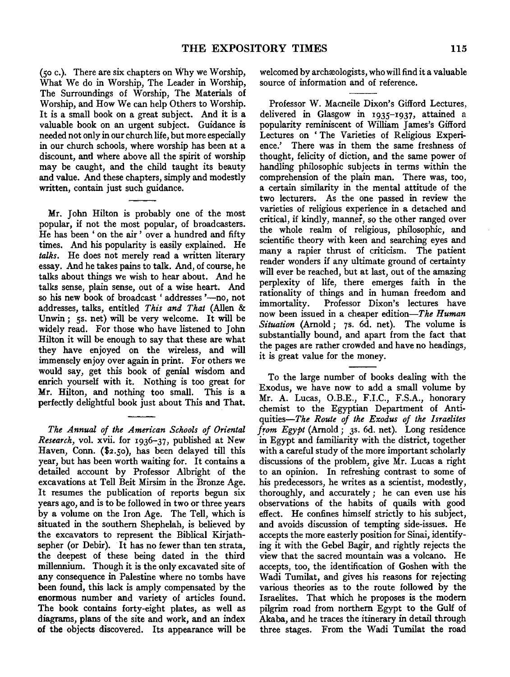(so c.). There are six chapters on Why we Worship, What We do in Worship, The Leader in Worship, The Surroundings of Worship, The Materials of Worship, and How We can help Others to Worship. It is a small book on a great subject. And it is a valuable book on an urgent subject. Guidance is needed not only in our church life, but more especially in our church schools, where worship has been at a discount, and where above all the spirit of worship may be caught, and the child taught its beauty and value. And these chapters, simply and modestly written, contain just such guidance.

Mr. John Hilton is probably one of the most popular, if not the most popular, of broadcasters. He has been ' on the air ' over a hundred and fifty times. And his popularity is easily explained. He *talks.* He does not merely read a written literary essay. And he takes pains to talk. And, of course, he talks about things we wish to hear about. And he talks sense, plain sense, out of a wise heart. And so his new book of broadcast 'addresses '-no, not addresses, talks, entitled *This and That* (Alien & Unwin; 5s. net) will be very welcome. It will be widely read. For those who have listened to John Hilton it will be enough to say that these are what they have enjoyed on the wireless, and will immensely enjoy over again in print. For others we would say, get this book of genial wisdom and enrich yourself with it. Nothing is too great for Mr. Hilton, and nothing too small. This is a perfectly delightful book just about This and That.

*The Annual of the American Schools of Oriental Research,* vol. xvii. for 1936-37, published at New Haven, Conn. (\$2.50), has been delayed till this year, but has been worth waiting for. It contains a detailed account by Professor Albright of the excavations at Tell Beit Mirsim in the Bronze Age. It resumes the publication of reports begun six years ago, and is to be followed in two or three years by a volume on the Iron Age. The Tell, which is situated in the southern Shephelah, is believed by the excavators to represent the Biblical Kirjathsepher (or Debir). It has no fewer than ten strata, the deepest of these being dated in the third millennium. Though it is the only excavated site of any consequence in Palestine where no tombs have been found, this lack is amply compensated by the enormous number and variety of articles found. The book contains forty-eight plates, as well as diagrams, plans of the site and work, and an index of the objects discovered. Its appearance will be welcomed by archæologists, who will find it a valuable source of information and of reference.

Professor W. Macneile Dixon's Gifford Lectures, delivered in Glasgow in 193s-1937, attained a popularity reminiscent of William James's Gifford Lectures on 'The Varieties of Religious Experience.' There was in them the same freshness of thought, felicity of diction, and the same power of handling philosophic subjects in terms within the comprehension of the plain man. There was, too, a certain similarity in the mental attitude of the two lecturers. As the one passed in review the varieties of religious experience in a detached and critical, if kindly, manner, so the other ranged over the whole realm of religious, philosophic, and scientific theory with keen and searching eyes and many a rapier thrust of criticism. The patient reader wonders if any ultimate ground of certainty will ever be reached, but at last, out of the amazing perplexity of life, there emerges faith in the rationality of things and in human freedom and immortality. Professor Dixon's lectures have now been issued in a cheaper edition-The *Human Situation* (Amold; 7s. 6d. net). The volume is substantially bound, and apart from the fact that the pages are rather crowded and have no headings, it is great value for the money.

To the large number of books dealing with the Exodus, we have now to add a small volume by Mr. A. Lucas, O.B.E., F.I.C., F.S.A., honorary chemist to the Egyptian Department of Antiquities-The *Route of the Exodus of the Israelites from Egypt* (Amold; 3s. 6d. net). Long residence in Egypt and familiarity with the district, together with a careful study of the more important scholarly discussions of the problem, give Mr. Lucas a right to an opinion. In refreshing contrast to some of his predecessors, he writes as a scientist, modestly, thoroughly, and accurately; he can even use his observations of the habits of quails with good effect. He confines himself strictly to his subject, and avoids discussion of tempting side-issues. He accepts the more easterly position for Sinai, identifying it with the Gebel Bagir, and rightly rejects the view that the sacred mountain was a volcano. He accepts, too, the identification of Goshen with the Wadi Tumilat, and gives his reasons for rejecting various theories as to the route followed by the Israelites. That which he proposes is the modem pilgrim road from northern Egypt to the Gulf of Akaba, and he traces the itinerary in detail through three stages. From the Wadi Tumilat the road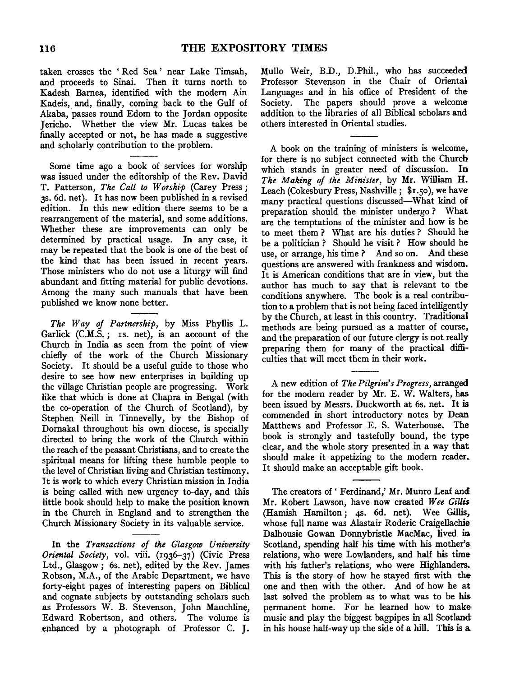taken crosses the ' Red Sea ' near Lake Timsah, and proceeds to Sinai. Then it turns north to Kadesh Barnea, identified with the modern Ain Kadeis, and, finally, coming back to the Gulf of Akaba, passes round Edom to the Jordan opposite Jericho. Whether the view Mr. Lucas takes be finally accepted or not, he has made a suggestive and scholarly contribution to the problem.

Some time ago a book of services for worship was issued under the editorship of the Rev. David T. Patterson, *The Call to Worship* (Carey Press; 3s. 6d. net). It has now been published in a revised edition. In this new edition there seems to be a rearrangement of the material, and some additions. Whether these are improvements can only be determined by practical usage. In any case, it may be repeated that the book is one of the best of the kind that has been issued in recent years. Those ministers who do not use a liturgy will find abundant and fitting material for public devotions. Among the many such manuals that have been published we know none better.

*The Way of Partnership,* by Miss Phyllis L. Garlick (C.M.S.; Is. net), is an account of the Church in India as seen from the point of view chiefly of the work of the Church Missionary Society. It should be a useful guide to those who desire to see how new enterprises in building up the village Christian people are progressing. Work like that which is done at Chapra in Bengal (with the co-operation of the Church of Scotland), by Stephen Neill in Tinnevelly, by the Bishop of Dornakal throughout his own diocese, is specially directed to bring the work of the Church within the reach of the peasant Christians, and to create the spiritual means for lifting these humble people to the level of Christian living and Christian testimony. It is work to which every Christian mission in India is being called with new urgency to-day, and this little book should help to make the position known in the Church in England and to strengthen the Church Missionary Society in its valuable service.

In the *Transactions of the Glasgow University Oriental Society,* vol. viii. (1936-37) (Civic Press Ltd., Glasgow; 6s. net), edited by the Rev. James Robson, M.A., of the Arabic Department, we have forty-eight pages of interesting papers on Biblical and cognate subjects by outstanding scholars such as Professors W. B. Stevenson, John Mauchline, Edward Robertson, and others. The volume is enhanced by a photograph of Professor C. J. Mullo Weir, B.D., D.Phil., who has succeeded Professor Stevenson in the Chair of Oriental Languages and in his office of President of the Society. The papers should prove a welcome addition to the libraries of all Biblical scholars and others interested in Oriental studies.

A book on the training of ministers is welcome. for there is no subject connected with the Church which stands in greater need of discussion. In *The Making of the Minister,* by Mr. William H. Leach (Cokesbury Press, Nashville; \$1.50), we have many practical questions discussed-What kind of preparation should the minister undergo ? What are the temptations of the minister and how is he to meet them ? What are his duties ? Should he be a politician ? Should he visit ? How should he use, or arrange, his time? And so on. And these questions are answered with frankness and wisdom. It is American conditions that are in view, but the author has much to say that is relevant to the conditions anywhere. The book is a real contribution to a problem that is not being faced intelligently by the Church, at least in this country. Traditional methods are being pursued as a matter of course, and the preparation of our future clergy is not really preparing them for many of the practical difficulties that will meet them in their work.

A new edition of *The Pilgrim's Progress,* arranged for the modern reader by Mr. E. W. Waiters, has been issued by Messrs. Duckworth at 6s. net. It is commended in short introductory notes by Dean Matthews and Professor E. S. Waterhouse. The book is strongly and tastefully bound, the type clear, and the whole story presented in a way that should make it appetizing to the modern reader. It should make an acceptable gift book.

The creators of' Ferdinand,' Mr. Munro Leaf and Mr. Robert Lawson, have now created *Wee Gillis*  (Hamish Hamilton; 4s. 6d. net). Wee Gillis, whose full name was Alastair Roderic Craigellachie Dalhousie Gowan Donnybristle MacMac, lived m Scotland, spending half his time with his mother's relations, who were Lowlanders, and half his time with his father's relations, who were Highlanders. This is the story of how he stayed first with the one and then with the other. And of how he at last solved the problem as to what was to be his permanent home. For he learned how to make music and play the biggest bagpipes in all Scotland in his house half-way up the side of a hill. This is a.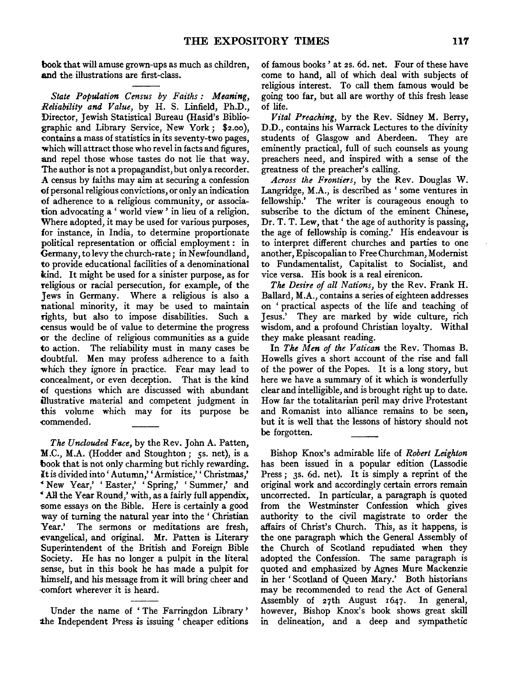book that will amuse grown-ups as much as children, and the illustrations are first-class.

*State Population Census by Faiths: Meaning, Reliability and Value,* by H. S. Linfield, Ph.D., Director, Jewish Statistical Bureau (Hasid's Bibliographic and Library Service, New York; \$2.oo), contains a mass of statistics in its seventy-two pages, which will attract those who revel in facts and figures, and repel those whose tastes do not lie that way. The author is not a propagandist, but only a recorder. A census by faiths may aim at securing a confession ()f personal religious convictions, or only an indication of adherence to a religious community, or association advocating a ' world view ' in lieu of a religion. Where adopted, it may be used for various purposes, for instance, in India, to determine proportionate political representation or official employment : in Germany, to levy the church-rate; in Newfoundland, to provide educational facilities of a denominational kind. It might be used for a sinister purpose, as for religious or racial persecution, for example, of the Jews in Germany. Where a religious is also a national minority, it may be used to maintain rights, but also to impose disabilities. Such a .census would be of value to determine the progress or the decline of religious communities as a guide to action. The reliability must in many cases be doubtful. Men may profess adherence to a faith which they ignore in practice. Fear may lead to .concealment, or even deception. That is the kind of questions which are discussed with abundant illustrative material and competent judgment in this volume which may for its purpose be -commended.

The Unclouded Face, by the Rev. John A. Patten, M.C., M.A. (Hodder and Stoughton; 5s. net), is a book that is not only charming but richly rewarding. It is divided into 'Autumn,' 'Armistice,' ' Christmas,' *4* New Year,' 'Easter,' 'Spring,' 'Summer,' and <sup>4</sup>All the Year Round,' with, as a fairly full appendix, some essays on the Bible. Here is certainly a good way of turning the natural year into the ' Christian Year.' The sermons or meditations are fresh, -evangelical, and original. Mr. Patten is Literary Superintendent of the British and Foreign Bible Society. He has no longer a pulpit in the literal sense, but in this book he has made a pulpit for himself, and his message from it will bring cheer and ·comfort wherever it is heard.

Under the name of ' The Farringdon Library ' the Independent Press is issuing ' cheaper editions of famous books ' at 2s. 6d. net. Four of these have come to hand, all of which deal with subjects of religious interest. To call them famous would be going too far, but all are worthy of this fresh lease of life.

*Vital Preaching,* by the Rev. Sidney M. Berry, D.D., contains his Warrack Lectures to the divinity students of Glasgow and Aberdeen. They are eminently practical, full of such counsels as young preachers need, and inspired with a sense of the greatness of the preacher's calling.

*Across the Frontiers,* by the Rev. Douglas W. Langridge, M.A., is described as 'some ventures in fellowship.' The writer is courageous enough to subscribe to the dictum of the eminent Chinese, Dr. T. T. Lew, that' the age of authority is passing, the age of fellowship is coming.' His endeavour is to interpret different churches and parties to one another, Episcopalian to Free Churchman, Modernist to Fundamentalist, Capitalist to Socialist, and vice versa. His book is a real eirenicon.

*The Desire of all Nations,* by the Rev. Frank H. Ballard, M.A., contains a series of eighteen addresses on ' practical aspects of the life and teaching of Jesus.' They are marked by wide culture, rich wisdom, and a profound Christian loyalty. Withal they make pleasant reading.

In *The Men of the Vatican* the Rev. Thomas B. Howells gives a short account of the rise and fall of the power of the Popes. It is a long story, but here we have a summary of it which is wonderfully clear and intelligible, and is brought right up to date. How far the totalitarian peril may drive Protestant and Romanist into alliance remains to be seen, but it is well that the lessons of history should not be forgotten.

Bishop Knox's admirable life of *Robert Leighton*  has been issued in a popular edition (Lassodie Press; 3s. 6d. net). It is simply a reprint of the original work and accordingly certain errors remain uncorrected. In particular, a paragraph is quoted from the Westminster Confession which gives authority to the civil magistrate to order the affairs of Christ's Church. This, as it happens, is the one paragraph which the General Assembly of the Church of Scotland repudiated when they adopted the Confession. The same paragraph is quoted and emphasized by Agnes Mure Mackenzie in her 'Scotland of Queen Mary.' Both historians may be recommended to read the Act of General Assembly of 27th August r647. In general, however, Bishop Knox's book shows great skill in delineation, and a deep and sympathetic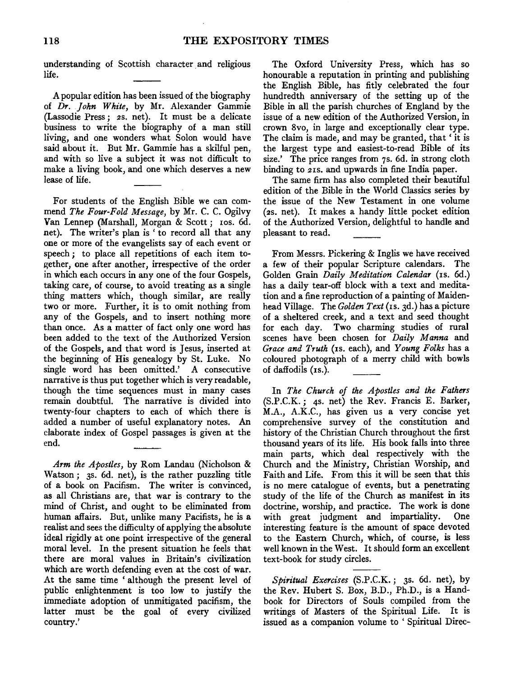## 118 THE EXPOSITORY TIMES

understanding of Scottish character and religious life.

A popular edition has been issued of the biography of *Dr. John White,* by Mr. Alexander Gammie (Lassodie Press; *zs.* net). It must be a delicate business to write the biography of a man still living, and one wonders what Solon would have said about it. But Mr. Gammie has a skilful pen, and with so live a subject it was not difficult to make a living book, and one which deserves a new lease of life.

For students of the English Bible we can commend *The Four-Fold Message,* by Mr. C. C. Ogilvy Van Lennep (Marshall, Morgan & *Scott;* Ios. 6d. net). The writer's plan is ' to record all that any one or more of the evangelists say of each event or speech *;* to place all repetitions of each item together, one after another, irrespective of the order in which each occurs in any one of the four Gospels, taking care, of course, to avoid treating as a single thing matters which, though similar, are really two or more. Further, it is to omit nothing from any of the Gospels, and to insert nothing more than once. As a matter of fact only one word has been added to the text of the Authorized Version of the Gospels, and that word is Jesus, inserted at the beginning of His genealogy by St. Luke. No single word has been omitted.' A consecutive narrative is thus put together which is very readable, though the time sequences must in many cases remain doubtful. The narrative is divided into twenty-four chapters to each of which there is added a number of useful explanatory notes. An elaborate index of Gospel passages is given at the end.

*Arm the Apostles,* by Rom Landau (Nicholson & Watson; 3s. 6d. net), is the rather puzzling title of a book on Pacifism. The writer is convinced, as all Christians are, that war is contrary to the mind of Christ, and ought to be eliminated from human affairs. But, unlike many Pacifists, he is a realist and sees the difficulty of applying the absolute ideal rigidly at one point irrespective of the general moral level. In the present situation he feels that there are moral values in Britain's civilization which are worth defending even at the cost of war. At the same time ' although the present level of public enlightenment is too low to justify the immediate adoption of unmitigated pacifism, the latter must be the goal of every civilized country.'

The Oxford University Press, which has so honourable a reputation in printing and publishing the English Bible, has fitly celebrated the four hundredth anniversary of the setting up of the Bible in all the parish churches of England by the issue of a new edition of the Authorized Version, in crown 8vo, in large and exceptionally clear type. The claim is made, and may be granted, that ' it is the largest type and easiest-to-read Bible of its size.' The price ranges from 7s. 6d. in strong cloth binding to 2IS. and upwards in fine India paper.

The same firm has also completed their beautiful edition of the Bible in the World Classics series by the issue of the New Testament in one volume (zs. net). It makes a handy little pocket edition of the Authorized Version, delightful to handle and pleasant to read.

From Messrs. Pickering & Inglis we have received a few of their popular Scripture calendars. The Golden Grain *Daily Meditation Calendar* (Is. 6d.) has a daily tear-off block with a text and meditation and a fine reproduction of a painting of Maidenhead Village. The *Golden Text* (Is. 3d.) has a picture of a sheltered creek, and a text and seed thought for each day. Two charming studies of rural scenes have been chosen for *Daily Manna* and *Grace and Truth* (IS. each), and *Young Folks* has a coloured photograph of a merry child with bowls of daffodils (Is.).

In *The Church of the Apostles and the Fathers*  (S.P.C.K.; 4s. net) the Rev. Francis E. Barker, M.A., A.K.C., has given us a very concise yet comprehensive survey of the constitution and history of the Christian Church throughout the first thousand years of its life. His book falls into three main parts, which deal respectively with the Church and the Ministry, Christian Worship, and Faith and Life. From this it will be seen that this is no mere catalogue of events, but a penetrating study of the life of the Church as manifest in its doctrine, worship, and practice. The work is done with great judgment and impartiality. One interesting feature is the amount of space devoted to the Eastern Church, which, of course, is less well known in the West. It should form an excellent text-book for study circles.

*Spiritual Exercises* (S.P.C.K.; 3s. 6d. net), by the Rev. Hubert S. Box, B.D., Ph.D., is a Handbook for Directors of Souls compiled from the writings of Masters of the Spiritual Life. It is issued as a companion volume to ' Spiritual Direc